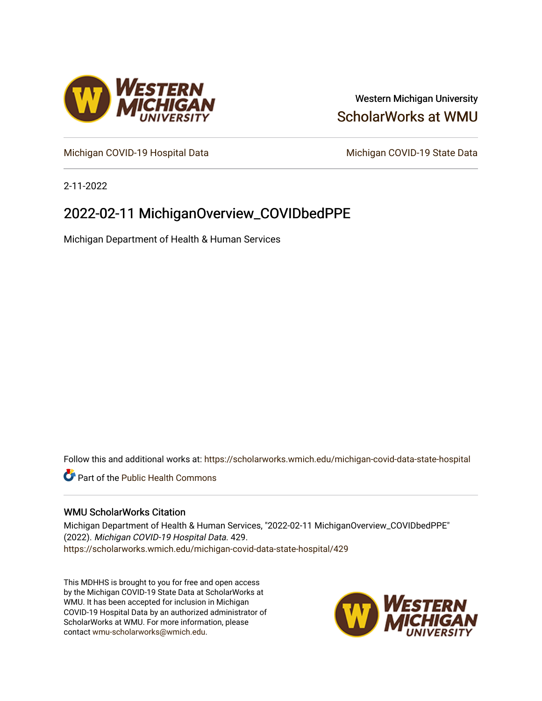

## Western Michigan University [ScholarWorks at WMU](https://scholarworks.wmich.edu/)

[Michigan COVID-19 Hospital Data](https://scholarworks.wmich.edu/michigan-covid-data-state-hospital) Michigan COVID-19 State Data

2-11-2022

# 2022-02-11 MichiganOverview\_COVIDbedPPE

Michigan Department of Health & Human Services

Follow this and additional works at: [https://scholarworks.wmich.edu/michigan-covid-data-state-hospital](https://scholarworks.wmich.edu/michigan-covid-data-state-hospital?utm_source=scholarworks.wmich.edu%2Fmichigan-covid-data-state-hospital%2F429&utm_medium=PDF&utm_campaign=PDFCoverPages) 

**Part of the Public Health Commons** 

### WMU ScholarWorks Citation

Michigan Department of Health & Human Services, "2022-02-11 MichiganOverview\_COVIDbedPPE" (2022). Michigan COVID-19 Hospital Data. 429. [https://scholarworks.wmich.edu/michigan-covid-data-state-hospital/429](https://scholarworks.wmich.edu/michigan-covid-data-state-hospital/429?utm_source=scholarworks.wmich.edu%2Fmichigan-covid-data-state-hospital%2F429&utm_medium=PDF&utm_campaign=PDFCoverPages) 

This MDHHS is brought to you for free and open access by the Michigan COVID-19 State Data at ScholarWorks at WMU. It has been accepted for inclusion in Michigan COVID-19 Hospital Data by an authorized administrator of ScholarWorks at WMU. For more information, please contact [wmu-scholarworks@wmich.edu](mailto:wmu-scholarworks@wmich.edu).

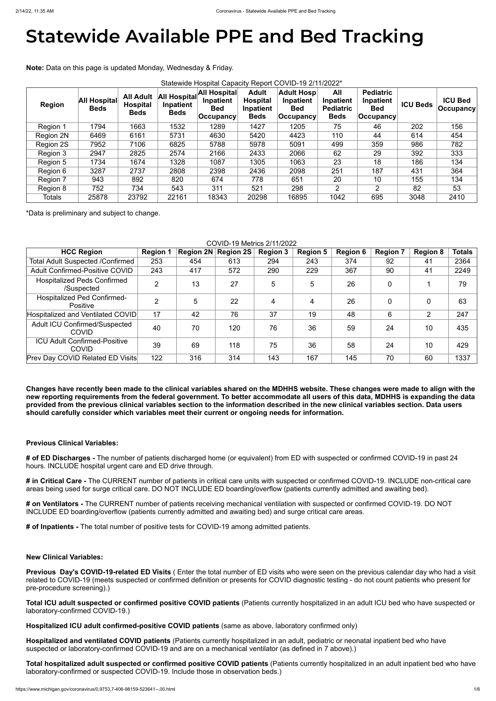# **Statewide Available PPE and Bed Tracking**

**Note:** Data on this page is updated Monday, Wednesday & Friday.

| Statewide Hospital Capacity Report COVID-19 2/11/2022* |                                    |                                                    |                                          |                                                               |                                                             |                                                                    |                                                     |                                                              |                 |                                     |
|--------------------------------------------------------|------------------------------------|----------------------------------------------------|------------------------------------------|---------------------------------------------------------------|-------------------------------------------------------------|--------------------------------------------------------------------|-----------------------------------------------------|--------------------------------------------------------------|-----------------|-------------------------------------|
| <b>Region</b>                                          | <b>All Hospital</b><br><b>Beds</b> | <b>All Adult</b><br><b>Hospital</b><br><b>Beds</b> | All Hospital<br>Inpatient<br><b>Beds</b> | <b>All Hospital</b><br>Inpatient<br><b>Bed</b><br>∣Occupancy∣ | <b>Adult</b><br><b>Hospital</b><br>Inpatient<br><b>Beds</b> | <b>Adult Hosp</b><br><b>Inpatient</b><br><b>Bed</b><br>∣Occupancyl | All<br>Inpatient<br><b>Pediatric</b><br><b>Beds</b> | <b>Pediatric</b><br>Inpatient<br><b>Bed</b><br>$ $ Occupancy | <b>ICU Beds</b> | <b>ICU Bed</b><br>$ $ Occupancy $ $ |
| Region 1                                               | 1794                               | 1663                                               | 1532                                     | 1289                                                          | 1427                                                        | 1205                                                               | 75                                                  | 46                                                           | 202             | 156                                 |
| Region 2N                                              | 6469                               | 6161                                               | 5731                                     | 4630                                                          | 5420                                                        | 4423                                                               | 110                                                 | 44                                                           | 614             | 454                                 |
| Region 2S                                              | 7952                               | 7106                                               | 6825                                     | 5788                                                          | 5978                                                        | 5091                                                               | 499                                                 | 359                                                          | 986             | 782                                 |
| Region 3                                               | 2947                               | 2825                                               | 2574                                     | 2166                                                          | 2433                                                        | 2066                                                               | 62                                                  | 29                                                           | 392             | 333                                 |
| Region 5                                               | 1734                               | 1674                                               | 1328                                     | 1087                                                          | 1305                                                        | 1063                                                               | 23                                                  | 18                                                           | 186             | 134                                 |
| Region 6                                               | 3287                               | 2737                                               | 2808                                     | 2398                                                          | 2436                                                        | 2098                                                               | 251                                                 | 187                                                          | 431             | 364                                 |
| Region 7                                               | 943                                | 892                                                | 820                                      | 674                                                           | 778                                                         | 651                                                                | 20                                                  | 10                                                           | 155             | 134                                 |
| Region 8                                               | 752                                | 734                                                | 543                                      | 311                                                           | 521                                                         | 298                                                                | $\overline{2}$                                      | 2                                                            | 82              | 53                                  |
| <b>Totals</b>                                          | 25878                              | 23792                                              | 22161                                    | 18343                                                         | 20298                                                       | 16895                                                              | 1042                                                | 695                                                          | 3048            | 2410                                |

\*Data is preliminary and subject to change.

### COVID-19 Metrics 2/11/2022

| <b>HCC Region</b>                                     | <b>Region 1</b> |     | Region 2N Region 2S | <b>Region 3</b> | <b>Region 5</b> | <b>Region 6</b> | <b>Region 7</b> | <b>Region 8</b> | <b>Totals</b> |
|-------------------------------------------------------|-----------------|-----|---------------------|-----------------|-----------------|-----------------|-----------------|-----------------|---------------|
| <b>Total Adult Suspected /Confirmed</b>               | 253             | 454 | 613                 | 294             | 243             | 374             | 92              | 41              | 2364          |
| <b>Adult Confirmed-Positive COVID</b>                 | 243             | 417 | 572                 | 290             | 229             | 367             | 90              | 41              | 2249          |
| <b>Hospitalized Peds Confirmed</b><br>/Suspected      | $\overline{2}$  | 13  | 27                  | 5               | 5               | 26              | $\overline{0}$  |                 | 79            |
| <b>Hospitalized Ped Confirmed-</b><br><b>Positive</b> | $\overline{2}$  | 5   | 22                  | 4               | 4               | 26              | $\overline{0}$  | 0               | 63            |
| Hospitalized and Ventilated COVID                     | 17              | 42  | 76                  | 37              | 19              | 48              | 6               | 2               | 247           |
| <b>Adult ICU Confirmed/Suspected</b><br><b>COVID</b>  | 40              | 70  | 120                 | 76              | 36              | 59              | 24              | 10              | 435           |
| <b>ICU Adult Confirmed-Positive</b><br><b>COVID</b>   | 39              | 69  | 118                 | 75              | 36              | 58              | 24              | 10              | 429           |
| <b>Prev Day COVID Related ED Visits</b>               | 122             | 316 | 314                 | 143             | 167             | 145             | 70              | 60              | 1337          |

**Changes have recently been made to the clinical variables shared on the MDHHS website. These changes were made to align with the new reporting requirements from the federal government. To better accommodate all users of this data, MDHHS is expanding the data provided from the previous clinical variables section to the information described in the new clinical variables section. Data users should carefully consider which variables meet their current or ongoing needs for information.**

### **Previous Clinical Variables:**

**# of ED Discharges -** The number of patients discharged home (or equivalent) from ED with suspected or confirmed COVID-19 in past 24 hours. INCLUDE hospital urgent care and ED drive through.

**# in Critical Care -** The CURRENT number of patients in critical care units with suspected or confirmed COVID-19. INCLUDE non-critical care areas being used for surge critical care. DO NOT INCLUDE ED boarding/overflow (patients currently admitted and awaiting bed).

**# on Ventilators -** The CURRENT number of patients receiving mechanical ventilation with suspected or confirmed COVID-19. DO NOT INCLUDE ED boarding/overflow (patients currently admitted and awaiting bed) and surge critical care areas.

**# of Inpatients -** The total number of positive tests for COVID-19 among admitted patients.

#### **New Clinical Variables:**

**Previous Day's COVID-19-related ED Visits** ( Enter the total number of ED visits who were seen on the previous calendar day who had a visit related to COVID-19 (meets suspected or confirmed definition or presents for COVID diagnostic testing - do not count patients who present for pre-procedure screening).)

**Total ICU adult suspected or confirmed positive COVID patients** (Patients currently hospitalized in an adult ICU bed who have suspected or laboratory-confirmed COVID-19.)

**Hospitalized ICU adult confirmed-positive COVID patients** (same as above, laboratory confirmed only)

**Hospitalized and ventilated COVID patients** (Patients currently hospitalized in an adult, pediatric or neonatal inpatient bed who have suspected or laboratory-confirmed COVID-19 and are on a mechanical ventilator (as defined in 7 above).)

**Total hospitalized adult suspected or confirmed positive COVID patients** (Patients currently hospitalized in an adult inpatient bed who have laboratory-confirmed or suspected COVID-19. Include those in observation beds.)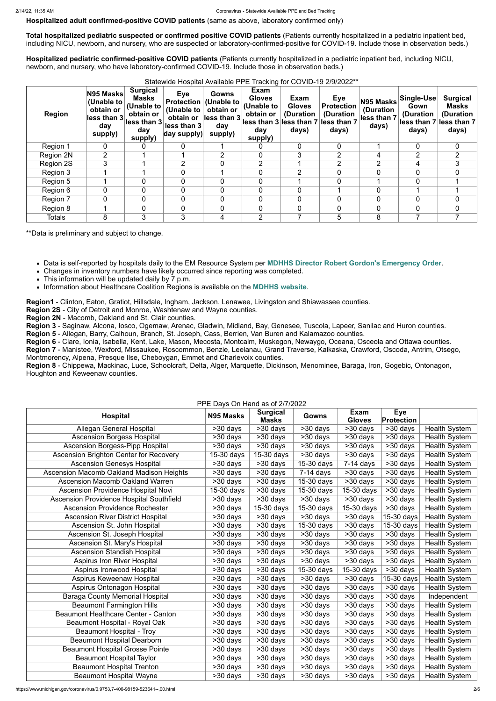**Hospitalized adult confirmed-positive COVID patients** (same as above, laboratory confirmed only)

**Total hospitalized pediatric suspected or confirmed positive COVID patients** (Patients currently hospitalized in a pediatric inpatient bed, including NICU, newborn, and nursery, who are suspected or laboratory-confirmed-positive for COVID-19. Include those in observation beds.)

**Hospitalized pediatric confirmed-positive COVID patients** (Patients currently hospitalized in a pediatric inpatient bed, including NICU, newborn, and nursery, who have laboratory-confirmed COVID-19. Include those in observation beds.)

Statewide Hospital Available PPE Tracking for COVID-19 2/9/2022\*\*

| <b>Region</b> | N95 Masks<br>(Unable to<br>obtain or<br>less than 3<br>day<br>supply) | <b>Surgical</b><br><b>Masks</b><br>(Unable to<br>obtain or<br>less than 3<br>day<br>supply) | <b>Eye</b><br><b>Protection</b><br>(Unable to<br>obtain or<br>less than 3<br>day supply) | <b>Gowns</b><br>(Unable to<br>obtain or<br>less than 3<br>day<br>supply) | Exam<br><b>Gloves</b><br>(Unable to<br>obtain or<br>day<br>supply) | Exam<br><b>Gloves</b><br>(Duration<br>lless than 3 less than 7<br>days) | Eye<br><b>Protection</b><br>(Duration<br>less than 7<br>days) | N95 Masks<br>(Duration<br>less than 7<br>days) | Single-Use<br>Gown<br>(Duration<br>lless than 7 less than 7<br>days) | <b>Surgical</b><br><b>Masks</b><br>(Duration<br>days) |
|---------------|-----------------------------------------------------------------------|---------------------------------------------------------------------------------------------|------------------------------------------------------------------------------------------|--------------------------------------------------------------------------|--------------------------------------------------------------------|-------------------------------------------------------------------------|---------------------------------------------------------------|------------------------------------------------|----------------------------------------------------------------------|-------------------------------------------------------|
| Region 1      | 0                                                                     | 0                                                                                           | 0                                                                                        |                                                                          |                                                                    | $\Omega$                                                                | $\overline{0}$                                                |                                                | $\mathbf 0$                                                          | $\mathbf 0$                                           |
| Region 2N     | 2                                                                     |                                                                                             |                                                                                          | 2                                                                        | 0                                                                  | 3                                                                       | $\overline{2}$                                                | 4                                              | $\overline{2}$                                                       | $\overline{2}$                                        |
| Region 2S     | 3                                                                     |                                                                                             | $\overline{2}$                                                                           | $\mathbf 0$                                                              | $\overline{2}$                                                     |                                                                         | $\overline{2}$                                                | 2                                              | 4                                                                    | 3                                                     |
| Region 3      |                                                                       |                                                                                             | 0                                                                                        |                                                                          | 0                                                                  | $\overline{2}$                                                          | 0                                                             | $\mathbf 0$                                    | $\Omega$                                                             | $\Omega$                                              |
| Region 5      |                                                                       | 0                                                                                           | 0                                                                                        | 0                                                                        | $\mathbf{0}$                                                       |                                                                         | 0                                                             |                                                | $\Omega$                                                             |                                                       |
| Region 6      | 0                                                                     | $\mathbf 0$                                                                                 | 0                                                                                        | $\overline{0}$                                                           | $\mathbf{0}$                                                       | 0                                                                       |                                                               | $\mathbf 0$                                    |                                                                      |                                                       |
| Region 7      |                                                                       | $\overline{0}$                                                                              | 0                                                                                        | $\mathbf 0$                                                              | 0                                                                  |                                                                         | 0                                                             | $\mathbf 0$                                    |                                                                      | $\Omega$                                              |
| Region 8      |                                                                       | $\overline{0}$                                                                              | 0                                                                                        | $\mathbf 0$                                                              | $\Omega$                                                           |                                                                         | 0                                                             | $\mathbf 0$                                    | $\mathbf 0$                                                          | $\mathbf 0$                                           |
| <b>Totals</b> | 8                                                                     | 3                                                                                           | 3                                                                                        | 4                                                                        | $\overline{2}$                                                     |                                                                         | 5                                                             | 8                                              |                                                                      |                                                       |

\*\*Data is preliminary and subject to change.

- Data is self-reported by hospitals daily to the EM Resource System per **[MDHHS Director Robert Gordon's Emergency Order](https://www.michigan.gov/documents/coronavirus/MDHHS_epidemic_reporting_order_and_instructions_684709_7.pdf)**.
- Changes in inventory numbers have likely occurred since reporting was completed.
- This information will be updated daily by 7 p.m.
- Information about Healthcare Coalition Regions is available on the **[MDHHS website](https://www.michigan.gov/mdhhs/0,5885,7-339-71548_54783_54826_56171-237197--,00.html#hcc)**.

**Region1** - Clinton, Eaton, Gratiot, Hillsdale, Ingham, Jackson, Lenawee, Livingston and Shiawassee counties.

**Region 2S** - City of Detroit and Monroe, Washtenaw and Wayne counties.

**Region 2N** - Macomb, Oakland and St. Clair counties.

**Region 3** - Saginaw, Alcona, Iosco, Ogemaw, Arenac, Gladwin, Midland, Bay, Genesee, Tuscola, Lapeer, Sanilac and Huron counties.

**Region 5** - Allegan, Barry, Calhoun, Branch, St. Joseph, Cass, Berrien, Van Buren and Kalamazoo counties.

**Region 6** - Clare, Ionia, Isabella, Kent, Lake, Mason, Mecosta, Montcalm, Muskegon, Newaygo, Oceana, Osceola and Ottawa counties.

**Region 7** - Manistee, Wexford, Missaukee, Roscommon, Benzie, Leelanau, Grand Traverse, Kalkaska, Crawford, Oscoda, Antrim, Otsego, Montmorency, Alpena, Presque Ilse, Cheboygan, Emmet and Charlevoix counties.

**Region 8** - Chippewa, Mackinac, Luce, Schoolcraft, Delta, Alger, Marquette, Dickinson, Menominee, Baraga, Iron, Gogebic, Ontonagon, Houghton and Keweenaw counties.

PPE Days On Hand as of 2/7/2022

| <b>Hospital</b>                                 | FFE DAYS UITTIAIIU AS UI ZITTZUZZ<br>N95 Masks | <b>Surgical</b><br><b>Masks</b> | <b>Gowns</b>          | <b>Exam</b><br><b>Gloves</b> | <b>Eye</b><br>Protection |                      |
|-------------------------------------------------|------------------------------------------------|---------------------------------|-----------------------|------------------------------|--------------------------|----------------------|
| <b>Allegan General Hospital</b>                 | >30 days                                       | >30 days                        | >30 days              | >30 days                     | >30 days                 | <b>Health System</b> |
| <b>Ascension Borgess Hospital</b>               | $\overline{>30}$ days                          | >30 days                        | >30 days              | >30 days                     | $>30$ days               | <b>Health System</b> |
| <b>Ascension Borgess-Pipp Hospital</b>          | >30 days                                       | >30 days                        | >30 days              | >30 days                     | >30 days                 | <b>Health System</b> |
| <b>Ascension Brighton Center for Recovery</b>   | 15-30 days                                     | 15-30 days                      | >30 days              | >30 days                     | >30 days                 | <b>Health System</b> |
| <b>Ascension Genesys Hospital</b>               | >30 days                                       | $\overline{>30}$ days           | 15-30 days            | $7-14$ days                  | >30 days                 | <b>Health System</b> |
| Ascension Macomb Oakland Madison Heights        | >30 days                                       | >30 days                        | $7-14$ days           | >30 days                     | $>30$ days               | <b>Health System</b> |
| <b>Ascension Macomb Oakland Warren</b>          | $\overline{>30}$ days                          | $530$ days                      | 15-30 days            | $\overline{>30}$ days        | >30 days                 | <b>Health System</b> |
| Ascension Providence Hospital Novi              | 15-30 days                                     | $\overline{>30}$ days           | 15-30 days            | 15-30 days                   | >30 days                 | <b>Health System</b> |
| <b>Ascension Providence Hospital Southfield</b> | >30 days                                       | >30 days                        | $\overline{>30}$ days | >30 days                     | $\overline{>30}$ days    | <b>Health System</b> |
| <b>Ascension Providence Rochester</b>           | >30 days                                       | $15-30$ days                    | 15-30 days            | 15-30 days                   | $>30$ days               | <b>Health System</b> |
| <b>Ascension River District Hospital</b>        | $\overline{>30}$ days                          | $\overline{>30}$ days           | >30 days              | >30 days                     | $\overline{15}$ -30 days | <b>Health System</b> |
| Ascension St. John Hospital                     | >30 days                                       | $>30$ days                      | $15-30$ days          | $\overline{>30}$ days        | 15-30 days               | <b>Health System</b> |
| Ascension St. Joseph Hospital                   | >30 days                                       | >30 days                        | $\overline{>30}$ days | >30 days                     | >30 days                 | <b>Health System</b> |
| Ascension St. Mary's Hospital                   | >30 days                                       | $\overline{>30}$ days           | $\overline{>30}$ days | $\overline{>}30$ days        | $>30$ days               | <b>Health System</b> |
| <b>Ascension Standish Hospital</b>              | $>30$ days                                     | $\overline{>30}$ days           | >30 days              | $>30$ days                   | $>30$ days               | <b>Health System</b> |
| <b>Aspirus Iron River Hospital</b>              | >30 days                                       | >30 days                        | $>30$ days            | >30 days                     | >30 days                 | <b>Health System</b> |
| Aspirus Ironwood Hospital                       | $\overline{>30}$ days                          | $>30$ days                      | $15-30$ days          | 15-30 days                   | >30 days                 | <b>Health System</b> |
| Aspirus Keweenaw Hospital                       | >30 days                                       | >30 days                        | >30 days              | $>30$ days                   | 15-30 days               | <b>Health System</b> |
| Aspirus Ontonagon Hospital                      | >30 days                                       | >30 days                        | $>30$ days            | >30 days                     | >30 days                 | <b>Health System</b> |
| <b>Baraga County Memorial Hospital</b>          | >30 days                                       | >30 days                        | >30 days              | >30 days                     | >30 days                 | Independent          |
| <b>Beaumont Farmington Hills</b>                | >30 days                                       | >30 days                        | >30 days              | >30 days                     | >30 days                 | <b>Health System</b> |
| <b>Beaumont Healthcare Center - Canton</b>      | >30 days                                       | >30 days                        | $>30$ days            | >30 days                     | >30 days                 | <b>Health System</b> |
| Beaumont Hospital - Royal Oak                   | >30 days                                       | >30 days                        | >30 days              | >30 days                     | >30 days                 | <b>Health System</b> |
| <b>Beaumont Hospital - Troy</b>                 | >30 days                                       | >30 days                        | >30 days              | >30 days                     | >30 days                 | <b>Health System</b> |
| <b>Beaumont Hospital Dearborn</b>               | >30 days                                       | >30 days                        | >30 days              | >30 days                     | >30 days                 | <b>Health System</b> |
| <b>Beaumont Hospital Grosse Pointe</b>          | >30 days                                       | $>30$ days                      | >30 days              | >30 days                     | >30 days                 | <b>Health System</b> |
| <b>Beaumont Hospital Taylor</b>                 | >30 days                                       | >30 days                        | >30 days              | >30 days                     | >30 days                 | <b>Health System</b> |
| <b>Beaumont Hospital Trenton</b>                | >30 days                                       | >30 days                        | >30 days              | >30 days                     | >30 days                 | <b>Health System</b> |
| <b>Beaumont Hospital Wayne</b>                  | >30 days                                       | >30 days                        | >30 days              | >30 days                     | >30 days                 | <b>Health System</b> |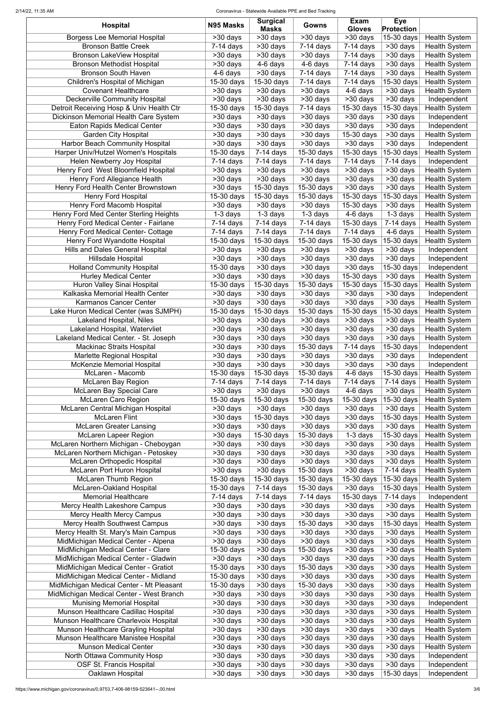#### 2/14/22, 11:35 AM Coronavirus - Statewide Available PPE and Bed Tracking

| <b>Hospital</b>                          | N95 Masks             | <b>Surgical</b><br><b>Masks</b> | Gowns                    | Exam<br><b>Gloves</b>     | <b>Eye</b><br><b>Protection</b>    |                      |
|------------------------------------------|-----------------------|---------------------------------|--------------------------|---------------------------|------------------------------------|----------------------|
| <b>Borgess Lee Memorial Hospital</b>     | >30 days              | >30 days                        | >30 days                 | $\overline{>}30$ days     | 15-30 days                         | <b>Health System</b> |
| <b>Bronson Battle Creek</b>              | $7-14$ days           | >30 days                        | 7-14 days                | $7-14$ days               | >30 days                           | <b>Health System</b> |
| <b>Bronson LakeView Hospital</b>         | $>30$ days            | >30 days                        | >30 days                 | $\overline{7}$ -14 days   | >30 days                           | <b>Health System</b> |
| <b>Bronson Methodist Hospital</b>        | >30 days              | $4-6$ days                      | 4-6 days                 | $7-14$ days               | >30 days                           | <b>Health System</b> |
| <b>Bronson South Haven</b>               | 4-6 days              | >30 days                        | $7-14$ days              | $7-14$ days               | >30 days                           | <b>Health System</b> |
| Children's Hospital of Michigan          | 15-30 days            | 15-30 days                      | $7-14$ days              | $7-14$ days               | 15-30 days                         | <b>Health System</b> |
| <b>Covenant Healthcare</b>               | $>30$ days            | >30 days                        | >30 days                 | 4-6 days                  | >30 days                           | <b>Health System</b> |
| <b>Deckerville Community Hospital</b>    | >30 days              | >30 days                        | >30 days                 | >30 days                  | >30 days                           | Independent          |
| Detroit Receiving Hosp & Univ Health Ctr | 15-30 days            | 15-30 days                      | $7-14$ days              | 15-30 days                | 15-30 days                         | <b>Health System</b> |
| Dickinson Memorial Health Care System    | >30 days              | >30 days                        | >30 days                 | >30 days                  | >30 days                           | Independent          |
| <b>Eaton Rapids Medical Center</b>       | >30 days              | >30 days                        | >30 days                 | >30 days                  | >30 days                           | Independent          |
| <b>Garden City Hospital</b>              | >30 days              | >30 days                        | >30 days                 | 15-30 days                | >30 days                           | <b>Health System</b> |
| <b>Harbor Beach Community Hospital</b>   | >30 days              | >30 days                        | >30 days                 | >30 days                  | >30 days                           | Independent          |
| Harper Univ/Hutzel Women's Hospitals     | 15-30 days            | $7-14$ days                     | 15-30 days               | 15-30 days                | 15-30 days                         | <b>Health System</b> |
| <b>Helen Newberry Joy Hospital</b>       | $7-14$ days           | $7-14$ days                     | $7-14$ days              | $7-14$ days               | $\overline{7}$ -14 days            | Independent          |
| Henry Ford West Bloomfield Hospital      |                       |                                 | >30 days                 |                           | >30 days                           |                      |
|                                          | >30 days              | >30 days                        |                          | >30 days                  |                                    | <b>Health System</b> |
| Henry Ford Allegiance Health             | >30 days              | >30 days                        | >30 days                 | >30 days                  | >30 days                           | <b>Health System</b> |
| Henry Ford Health Center Brownstown      | >30 days              | 15-30 days                      | 15-30 days               | >30 days                  | >30 days                           | Health System        |
| <b>Henry Ford Hospital</b>               | 15-30 days            | 15-30 days                      | $\overline{15}$ -30 days | $\overline{15}$ -30 days  | $15-30$ days                       | <b>Health System</b> |
| Henry Ford Macomb Hospital               | >30 days              | $>30$ days                      | >30 days                 | $15-30$ days              | >30 days                           | <b>Health System</b> |
| Henry Ford Med Center Sterling Heights   | $1-3$ days            | $\overline{1}$ -3 days          | $\overline{1}$ -3 days   | 4-6 days                  | 1-3 days                           | <b>Health System</b> |
| Henry Ford Medical Center - Fairlane     | 7-14 days             | $\overline{7}$ -14 days         | $7-14$ days              | $\overline{15} - 30$ days | $7-14$ days                        | <b>Health System</b> |
| Henry Ford Medical Center- Cottage       | $7-14$ days           | $\overline{7-14}$ days          | $\overline{7}$ -14 days  | $7-14$ days               | 4-6 days                           | <b>Health System</b> |
| Henry Ford Wyandotte Hospital            | $15-30$ days          | 15-30 days                      | 15-30 days               | 15-30 days                | 15-30 days                         | <b>Health System</b> |
| <b>Hills and Dales General Hospital</b>  | >30 days              | $>30$ days                      | >30 days                 | $\overline{>30}$ days     | $\overline{>30}$ days              | Independent          |
| <b>Hillsdale Hospital</b>                | >30 days              | $\overline{>}30$ days           | $>30$ days               | $>30$ days                | $\overline{\phantom{1}}$ > 30 days | Independent          |
| <b>Holland Community Hospital</b>        | $15-30$ days          | $\overline{>30}$ days           | >30 days                 | $\overline{>30}$ days     | $15-30$ days                       | Independent          |
| <b>Hurley Medical Center</b>             | $>30$ days            | $>30$ days                      | $\overline{>}30$ days    | $\overline{15}$ -30 days  | $>30$ days                         | <b>Health System</b> |
| Huron Valley Sinai Hospital              | 15-30 days            | $15-30$ days                    | $\overline{15}$ -30 days | $15-30$ days              | $ 15$ -30 days $ $                 | <b>Health System</b> |
|                                          |                       |                                 |                          |                           |                                    |                      |
| Kalkaska Memorial Health Center          | >30 days              | $>30$ days                      | >30 days                 | $\overline{>}30$ days     | >30 days                           | Independent          |
| <b>Karmanos Cancer Center</b>            | >30 days              | >30 days                        | >30 days                 | >30 days                  | >30 days                           | <b>Health System</b> |
| Lake Huron Medical Center (was SJMPH)    | $15-30$ days          | 15-30 days                      | 15-30 days               | 15-30 days                | 15-30 days                         | <b>Health System</b> |
| <b>Lakeland Hospital, Niles</b>          | >30 days              | >30 days                        | >30 days                 | >30 days                  | >30 days                           | <b>Health System</b> |
| Lakeland Hospital, Watervliet            | >30 days              | >30 days                        | $>30$ days               | >30 days                  | >30 days                           | <b>Health System</b> |
| Lakeland Medical Center. - St. Joseph    | >30 days              | >30 days                        | >30 days                 | >30 days                  | >30 days                           | <b>Health System</b> |
| <b>Mackinac Straits Hospital</b>         | >30 days              | >30 days                        | 15-30 days               | $7-14$ days               | 15-30 days                         | Independent          |
| Marlette Regional Hospital               | >30 days              | >30 days                        | >30 days                 | >30 days                  | >30 days                           | Independent          |
| <b>McKenzie Memorial Hospital</b>        | >30 days              | >30 days                        | >30 days                 | >30 days                  | >30 days                           | Independent          |
| McLaren - Macomb                         | 15-30 days            | 15-30 days                      | 15-30 days               | 4-6 days                  | 15-30 days                         | <b>Health System</b> |
| <b>McLaren Bay Region</b>                | $7-14$ days           | $7-14$ days                     | 7-14 days                | $7-14$ days               | $7-14$ days                        | <b>Health System</b> |
| <b>McLaren Bay Special Care</b>          | >30 days              | >30 days                        | >30 days                 | 4-6 days                  | >30 days                           | <b>Health System</b> |
| <b>McLaren Caro Region</b>               | 15-30 days            | 15-30 days                      | 15-30 days               | 15-30 days                | 15-30 days                         | <b>Health System</b> |
| McLaren Central Michigan Hospital        | >30 days              | >30 days                        | >30 days                 | >30 days                  | >30 days                           | <b>Health System</b> |
| <b>McLaren Flint</b>                     |                       | 15-30 days                      | >30 days                 | >30 days                  | 15-30 days                         | <b>Health System</b> |
|                                          | >30 days              |                                 |                          |                           |                                    |                      |
| <b>McLaren Greater Lansing</b>           | >30 days              | >30 days                        | >30 days                 | >30 days                  | >30 days                           | <b>Health System</b> |
| <b>McLaren Lapeer Region</b>             | >30 days              | 15-30 days                      | 15-30 days               | $1-3$ days                | 15-30 days                         | <b>Health System</b> |
| McLaren Northern Michigan - Cheboygan    | >30 days              | >30 days                        | >30 days                 | >30 days                  | >30 days                           | <b>Health System</b> |
| McLaren Northern Michigan - Petoskey     | >30 days              | >30 days                        | >30 days                 | >30 days                  | >30 days                           | <b>Health System</b> |
| McLaren Orthopedic Hospital              | >30 days              | >30 days                        | >30 days                 | >30 days                  | >30 days                           | <b>Health System</b> |
| McLaren Port Huron Hospital              | >30 days              | >30 days                        | $15-30$ days             | >30 days                  | $7-14$ days                        | <b>Health System</b> |
| <b>McLaren Thumb Region</b>              | 15-30 days            | 15-30 days                      | 15-30 days               | 15-30 days                | 15-30 days                         | <b>Health System</b> |
| <b>McLaren-Oakland Hospital</b>          | 15-30 days            | $\overline{7}$ -14 days         | $15-30$ days             | >30 days                  | 15-30 days                         | <b>Health System</b> |
| <b>Memorial Healthcare</b>               | $7-14$ days           | $7-14$ days                     | $7-14$ days              | 15-30 days                | $7-14$ days                        | Independent          |
| Mercy Health Lakeshore Campus            | >30 days              | >30 days                        | >30 days                 | >30 days                  | >30 days                           | <b>Health System</b> |
| <b>Mercy Health Mercy Campus</b>         | >30 days              | >30 days                        | >30 days                 | >30 days                  | $>30$ days                         | <b>Health System</b> |
| <b>Mercy Health Southwest Campus</b>     | >30 days              | >30 days                        | 15-30 days               | >30 days                  | 15-30 days                         | <b>Health System</b> |
| Mercy Health St. Mary's Main Campus      | $\overline{>30}$ days | >30 days                        | >30 days                 | >30 days                  | >30 days                           | <b>Health System</b> |
| MidMichigan Medical Center - Alpena      | >30 days              | >30 days                        | >30 days                 | >30 days                  | >30 days                           | <b>Health System</b> |
| MidMichigan Medical Center - Clare       | 15-30 days            | >30 days                        | 15-30 days               | >30 days                  | >30 days                           | <b>Health System</b> |
|                                          |                       | >30 days                        | $>30$ days               |                           |                                    |                      |
| MidMichigan Medical Center - Gladwin     | >30 days              |                                 |                          | >30 days                  | >30 days                           | <b>Health System</b> |
| MidMichigan Medical Center - Gratiot     | 15-30 days            | >30 days                        | 15-30 days               | >30 days                  | >30 days                           | <b>Health System</b> |
| MidMichigan Medical Center - Midland     | 15-30 days            | >30 days                        | >30 days                 | >30 days                  | >30 days                           | <b>Health System</b> |
| MidMichigan Medical Center - Mt Pleasant | 15-30 days            | >30 days                        | 15-30 days               | >30 days                  | >30 days                           | <b>Health System</b> |
| MidMichigan Medical Center - West Branch | >30 days              | >30 days                        | >30 days                 | >30 days                  | >30 days                           | <b>Health System</b> |
| <b>Munising Memorial Hospital</b>        | >30 days              | >30 days                        | >30 days                 | >30 days                  | >30 days                           | Independent          |
| Munson Healthcare Cadillac Hospital      | >30 days              | >30 days                        | >30 days                 | >30 days                  | >30 days                           | <b>Health System</b> |
| Munson Healthcare Charlevoix Hospital    | >30 days              | >30 days                        | >30 days                 | >30 days                  | >30 days                           | <b>Health System</b> |
| Munson Healthcare Grayling Hospital      | >30 days              | >30 days                        | >30 days                 | >30 days                  | >30 days                           | <b>Health System</b> |
| Munson Healthcare Manistee Hospital      | >30 days              | >30 days                        | >30 days                 | >30 days                  | >30 days                           | <b>Health System</b> |
| <b>Munson Medical Center</b>             | >30 days              | >30 days                        | >30 days                 | >30 days                  | >30 days                           | <b>Health System</b> |
| North Ottawa Community Hosp              | >30 days              | >30 days                        | >30 days                 | >30 days                  | >30 days                           | Independent          |
| <b>OSF St. Francis Hospital</b>          | >30 days              | >30 days                        | >30 days                 | >30 days                  | >30 days                           | Independent          |
| Oaklawn Hospital                         | >30 days              | >30 days                        | >30 days                 | >30 days                  | 15-30 days                         | Independent          |
|                                          |                       |                                 |                          |                           |                                    |                      |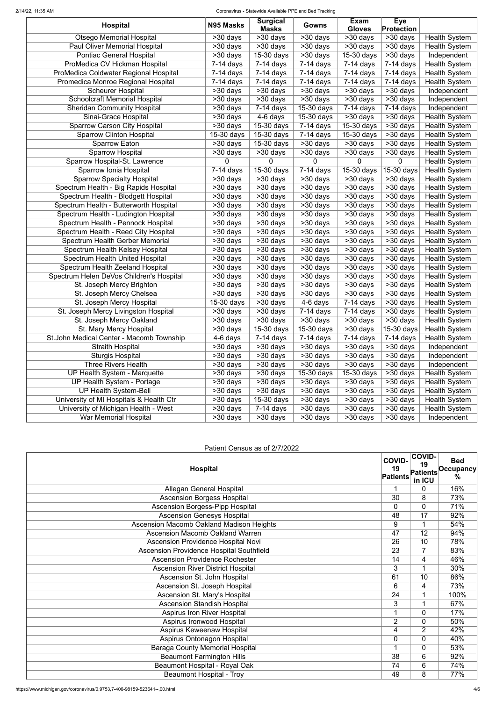#### 2/14/22, 11:35 AM Coronavirus - Statewide Available PPE and Bed Tracking

| <b>Hospital</b>                          | N95 Masks             | <b>Surgical</b><br><b>Masks</b> | Gowns                 | <b>Exam</b><br><b>Gloves</b> | <b>Eye</b><br><b>Protection</b> |                      |
|------------------------------------------|-----------------------|---------------------------------|-----------------------|------------------------------|---------------------------------|----------------------|
| <b>Otsego Memorial Hospital</b>          | >30 days              | $\overline{>30}$ days           | >30 days              | >30 days                     | >30 days                        | <b>Health System</b> |
| Paul Oliver Memorial Hospital            | >30 days              | >30 days                        | $>30$ days            | >30 days                     | >30 days                        | <b>Health System</b> |
| <b>Pontiac General Hospital</b>          | >30 days              | 15-30 days                      | >30 days              | 15-30 days                   | >30 days                        | Independent          |
| ProMedica CV Hickman Hospital            | $7-14$ days           | $7-14$ days                     | $7-14$ days           | $7-14$ days                  | $\overline{7}$ -14 days         | <b>Health System</b> |
| ProMedica Coldwater Regional Hospital    | $7-14$ days           | $\overline{7}$ -14 days         | $7-14$ days           | $7-14$ days                  | $7-14$ days                     | <b>Health System</b> |
| Promedica Monroe Regional Hospital       | $7-14$ days           | $7-14$ days                     | $7-14$ days           | $7-14$ days                  | $7-14$ days                     | <b>Health System</b> |
| <b>Scheurer Hospital</b>                 | $\overline{>30}$ days | $>30$ days                      | >30 days              | >30 days                     | >30 days                        | Independent          |
| <b>Schoolcraft Memorial Hospital</b>     | >30 days              | >30 days                        | $>30$ days            | >30 days                     | $>30$ days                      | Independent          |
| <b>Sheridan Community Hospital</b>       | >30 days              | $7-14$ days                     | 15-30 days            | $7-14$ days                  | $7-14$ days                     | Independent          |
| Sinai-Grace Hospital                     | >30 days              | $4-6$ days                      | 15-30 days            | >30 days                     | >30 days                        | <b>Health System</b> |
| <b>Sparrow Carson City Hospital</b>      | $\overline{>30}$ days | 15-30 days                      | $7-14$ days           | $15-30$ days                 | >30 days                        | <b>Health System</b> |
| <b>Sparrow Clinton Hospital</b>          | 15-30 days            | 15-30 days                      | $7-14$ days           | 15-30 days                   | >30 days                        | <b>Health System</b> |
| <b>Sparrow Eaton</b>                     | $\overline{>30}$ days | 15-30 days                      | >30 days              | >30 days                     | >30 days                        | <b>Health System</b> |
| <b>Sparrow Hospital</b>                  | >30 days              | >30 days                        | >30 days              | >30 days                     | >30 days                        | <b>Health System</b> |
| Sparrow Hospital-St. Lawrence            | 0                     | $\mathbf 0$                     | $\Omega$              | 0                            | 0                               | <b>Health System</b> |
| Sparrow Ionia Hospital                   | $7-14$ days           | 15-30 days                      | $7-14$ days           | 15-30 days                   | 15-30 days                      | <b>Health System</b> |
| <b>Sparrow Specialty Hospital</b>        | $>30$ days            | >30 days                        | >30 days              | >30 days                     | >30 days                        | <b>Health System</b> |
| Spectrum Health - Big Rapids Hospital    | >30 days              | >30 days                        | >30 days              | >30 days                     | >30 days                        | <b>Health System</b> |
| Spectrum Health - Blodgett Hospital      | $\overline{>30}$ days | $>30$ days                      | >30 days              | $\overline{>30}$ days        | >30 days                        | <b>Health System</b> |
| Spectrum Health - Butterworth Hospital   | >30 days              | $>30$ days                      | $>30$ days            | $\overline{>30}$ days        | $>30$ days                      | <b>Health System</b> |
| Spectrum Health - Ludington Hospital     | >30 days              | >30 days                        | >30 days              | >30 days                     | >30 days                        | <b>Health System</b> |
| Spectrum Health - Pennock Hospital       | >30 days              | >30 days                        | >30 days              | >30 days                     | >30 days                        | <b>Health System</b> |
| Spectrum Health - Reed City Hospital     | >30 days              | $>30$ days                      | >30 days              | >30 days                     | $\overline{>30}$ days           | <b>Health System</b> |
| Spectrum Health Gerber Memorial          | >30 days              | $>30$ days                      | $>30$ days            | $\overline{>30}$ days        | $>30$ days                      | <b>Health System</b> |
| Spectrum Health Kelsey Hospital          | >30 days              | >30 days                        | $>30$ days            | >30 days                     | $>30$ days                      | <b>Health System</b> |
| <b>Spectrum Health United Hospital</b>   | >30 days              | $>30$ days                      | >30 days              | >30 days                     | >30 days                        | <b>Health System</b> |
| Spectrum Health Zeeland Hospital         | $\overline{>30}$ days | $\overline{>30}$ days           | >30 days              | >30 days                     | >30 days                        | <b>Health System</b> |
| Spectrum Helen DeVos Children's Hospital | $\overline{>30}$ days | $\overline{>30}$ days           | $\overline{>30}$ days | $\overline{>30}$ days        | $530 \text{ days}$              | <b>Health System</b> |
| St. Joseph Mercy Brighton                | $>30$ days            | $>30$ days                      | >30 days              | >30 days                     | $>30$ days                      | <b>Health System</b> |
| St. Joseph Mercy Chelsea                 | >30 days              | >30 days                        | >30 days              | >30 days                     | >30 days                        | <b>Health System</b> |
| St. Joseph Mercy Hospital                | 15-30 days            | $>30$ days                      | 4-6 days              | $7-14$ days                  | $>30$ days                      | <b>Health System</b> |
| St. Joseph Mercy Livingston Hospital     | >30 days              | >30 days                        | $7-14$ days           | $7-14$ days                  | >30 days                        | <b>Health System</b> |
| St. Joseph Mercy Oakland                 | >30 days              | >30 days                        | >30 days              | >30 days                     | >30 days                        | <b>Health System</b> |
| St. Mary Mercy Hospital                  | >30 days              | 15-30 days                      | 15-30 days            | >30 days                     | 15-30 days                      | <b>Health System</b> |
| St.John Medical Center - Macomb Township | 4-6 days              | $7-14$ days                     | $7-14$ days           | $7-14$ days                  | $7-14$ days                     | <b>Health System</b> |
| <b>Straith Hospital</b>                  | >30 days              | >30 days                        | >30 days              | >30 days                     | $>30$ days                      | Independent          |
| <b>Sturgis Hospital</b>                  | >30 days              | $>30$ days                      | >30 days              | >30 days                     | $>30$ days                      | Independent          |
| <b>Three Rivers Health</b>               | >30 days              | >30 days                        | >30 days              | >30 days                     | >30 days                        | Independent          |
| UP Health System - Marquette             | >30 days              | $>30$ days                      | 15-30 days            | 15-30 days                   | $\overline{>30}$ days           | <b>Health System</b> |
| UP Health System - Portage               | >30 days              | >30 days                        | >30 days              | >30 days                     | >30 days                        | <b>Health System</b> |
| <b>UP Health System-Bell</b>             | >30 days              | $>30$ days                      | >30 days              | >30 days                     | $>30$ days                      | <b>Health System</b> |
| University of MI Hospitals & Health Ctr  | >30 days              | 15-30 days                      | >30 days              | >30 days                     | >30 days                        | <b>Health System</b> |
| University of Michigan Health - West     | >30 days              | $7-14$ days                     | >30 days              | >30 days                     | >30 days                        | <b>Health System</b> |
| War Memorial Hospital                    | >30 days              | >30 days                        | >30 days              | >30 days                     | >30 days                        | Independent          |

## Patient Census as of 2/7/2022

| <b>Hospital</b>                                 | <b>COVID-</b><br>19<br><b>Patients</b> | <b>COVID-</b><br>19<br><b>Patients</b><br>in ICU | <b>Bed</b><br> Occupancy <br>$\frac{0}{0}$ |
|-------------------------------------------------|----------------------------------------|--------------------------------------------------|--------------------------------------------|
| <b>Allegan General Hospital</b>                 |                                        | 0                                                | 16%                                        |
| <b>Ascension Borgess Hospital</b>               | $\overline{30}$                        | 8                                                | 73%                                        |
| <b>Ascension Borgess-Pipp Hospital</b>          | 0                                      | $\Omega$                                         | 71%                                        |
| <b>Ascension Genesys Hospital</b>               | 48                                     | $\overline{17}$                                  | 92%                                        |
| <b>Ascension Macomb Oakland Madison Heights</b> | 9                                      | 1                                                | 54%                                        |
| <b>Ascension Macomb Oakland Warren</b>          | 47                                     | 12                                               | 94%                                        |
| <b>Ascension Providence Hospital Novi</b>       | 26                                     | 10                                               | 78%                                        |
| Ascension Providence Hospital Southfield        | 23                                     |                                                  | 83%                                        |
| <b>Ascension Providence Rochester</b>           | 14                                     | $\overline{4}$                                   | 46%                                        |
| <b>Ascension River District Hospital</b>        | 3                                      |                                                  | 30%                                        |
| Ascension St. John Hospital                     | 61                                     | 10                                               | 86%                                        |
| Ascension St. Joseph Hospital                   | 6                                      | 4                                                | 73%                                        |
| Ascension St. Mary's Hospital                   | 24                                     |                                                  | 100%                                       |
| <b>Ascension Standish Hospital</b>              | 3                                      | 1                                                | 67%                                        |
| <b>Aspirus Iron River Hospital</b>              |                                        | $\Omega$                                         | 17%                                        |
| Aspirus Ironwood Hospital                       | $\overline{2}$                         | $\mathbf 0$                                      | 50%                                        |
| Aspirus Keweenaw Hospital                       | 4                                      | 2                                                | 42%                                        |
| Aspirus Ontonagon Hospital                      | 0                                      | $\overline{0}$                                   | 40%                                        |
| <b>Baraga County Memorial Hospital</b>          |                                        | $\Omega$                                         | 53%                                        |
| <b>Beaumont Farmington Hills</b>                | 38                                     | 6                                                | 92%                                        |
| <b>Beaumont Hospital - Royal Oak</b>            | 74                                     | 6                                                | 74%                                        |
| <b>Beaumont Hospital - Troy</b>                 | 49                                     | 8                                                | 77%                                        |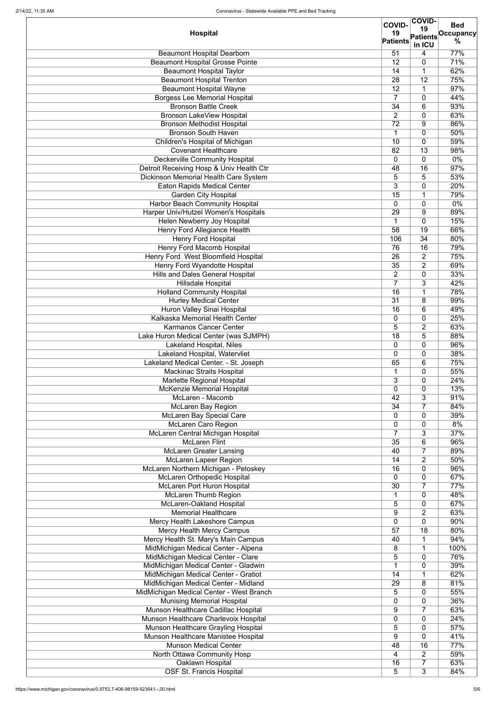|                                              | <b>COVID-</b>   | <b>COVID-</b>             | <b>Bed</b>       |
|----------------------------------------------|-----------------|---------------------------|------------------|
| <b>Hospital</b>                              | 19              | 19                        | <b>Occupancy</b> |
|                                              | <b>Patients</b> | <b>Patients</b><br>in ICU | $\%$             |
| <b>Beaumont Hospital Dearborn</b>            | 51              | 4                         | 77%              |
| <b>Beaumont Hospital Grosse Pointe</b>       | 12              | $\mathbf 0$               | 71%              |
| <b>Beaumont Hospital Taylor</b>              | 14              | 1                         | 62%              |
| <b>Beaumont Hospital Trenton</b>             | 28              | 12                        | 75%              |
| <b>Beaumont Hospital Wayne</b>               | 12              | 1                         | 97%              |
| <b>Borgess Lee Memorial Hospital</b>         | $\overline{7}$  | $\mathbf 0$               | 44%              |
| <b>Bronson Battle Creek</b>                  | 34              | 6                         | 93%              |
| <b>Bronson LakeView Hospital</b>             | $\overline{2}$  | 0                         | 63%              |
| <b>Bronson Methodist Hospital</b>            | 72              | 9                         | 86%              |
| <b>Bronson South Haven</b>                   | 1               | $\mathbf 0$               | 50%              |
| Children's Hospital of Michigan              | 10              | 0                         | 59%              |
| <b>Covenant Healthcare</b>                   | 82              | 13                        | 98%              |
| <b>Deckerville Community Hospital</b>        | 0               | $\mathbf 0$               | $0\%$            |
| Detroit Receiving Hosp & Univ Health Ctr     | 48              | 16                        | 97%              |
| <b>Dickinson Memorial Health Care System</b> | 5               | 5                         | 53%              |
| <b>Eaton Rapids Medical Center</b>           | 3               | $\mathbf 0$               | 20%              |
| <b>Garden City Hospital</b>                  | $\overline{15}$ | $\mathbf 1$               | 79%              |
| Harbor Beach Community Hospital              | 0               | $\overline{0}$            | $0\%$            |
| Harper Univ/Hutzel Women's Hospitals         | 29              | 9                         | 89%              |
| Helen Newberry Joy Hospital                  | $\mathbf 1$     | $\mathbf 0$               | 15%              |
| <b>Henry Ford Allegiance Health</b>          | 58              | 19                        | 66%              |
| <b>Henry Ford Hospital</b>                   | 106             | $\overline{34}$           | 80%              |
| <b>Henry Ford Macomb Hospital</b>            | 76              | 16                        | 79%              |
| Henry Ford West Bloomfield Hospital          | 26              | $\overline{2}$            | 75%              |
| <b>Henry Ford Wyandotte Hospital</b>         | 35              | $\overline{2}$            | 69%              |
| <b>Hills and Dales General Hospital</b>      | $\overline{2}$  | $\boldsymbol{0}$          | 33%              |
| <b>Hillsdale Hospital</b>                    | Ξ.              | 3                         | 42%              |
| <b>Holland Community Hospital</b>            | $\overline{16}$ | $\mathbf 1$               | 78%              |
| <b>Hurley Medical Center</b>                 | 31              | 8                         | 99%              |
| <b>Huron Valley Sinai Hospital</b>           | $\overline{16}$ | 6                         | 49%              |
| Kalkaska Memorial Health Center              | $\overline{0}$  | 0                         | 25%              |
| <b>Karmanos Cancer Center</b>                | 5               | $\overline{2}$            | 63%              |
| Lake Huron Medical Center (was SJMPH)        | 18              | 5                         | 88%              |
| <b>Lakeland Hospital, Niles</b>              | 0               | 0                         | 96%              |
| Lakeland Hospital, Watervliet                | $\overline{0}$  | 0                         | 38%              |
| Lakeland Medical Center. - St. Joseph        | 65              | 6                         | 75%              |
| <b>Mackinac Straits Hospital</b>             | 1               | $\mathbf 0$               | 55%              |
| Marlette Regional Hospital                   | 3               | 0                         | 24%              |
| <b>McKenzie Memorial Hospital</b>            | $\overline{0}$  | 0                         | 13%              |
| McLaren - Macomb                             | 42              | 3                         | 91%              |
| <b>McLaren Bay Region</b>                    | 34              | $\overline{7}$            | 84%              |
| <b>McLaren Bay Special Care</b>              | 0               | 0                         | 39%              |
| McLaren Caro Region                          | $\mathbf 0$     | 0                         | 8%               |
| McLaren Central Michigan Hospital            | $\overline{7}$  | 3                         | 37%              |
| <b>McLaren Flint</b>                         | 35              | 6                         | 96%              |
| <b>McLaren Greater Lansing</b>               | 40              | $\overline{7}$            | 89%              |
| <b>McLaren Lapeer Region</b>                 | 14              | $\overline{2}$            | 50%              |
| McLaren Northern Michigan - Petoskey         | 16              | $\mathbf 0$               | 96%              |
| <b>McLaren Orthopedic Hospital</b>           | $\overline{0}$  | $\mathbf 0$               | 67%              |
| <b>McLaren Port Huron Hospital</b>           | 30              | $\overline{7}$            | 77%              |
| <b>McLaren Thumb Region</b>                  | 1               | 0                         | 48%              |
| <b>McLaren-Oakland Hospital</b>              | 5               | $\mathbf 0$               | 67%              |
| <b>Memorial Healthcare</b>                   | 9               | $\overline{2}$            | 63%              |
| Mercy Health Lakeshore Campus                | 0               | 0                         | 90%              |
| <b>Mercy Health Mercy Campus</b>             | 57              | 18                        | 80%              |
| Mercy Health St. Mary's Main Campus          | 40              | 1                         | 94%              |
| MidMichigan Medical Center - Alpena          | 8               |                           | 100%             |
| MidMichigan Medical Center - Clare           | 5               | $\mathbf 0$               | 76%              |
| MidMichigan Medical Center - Gladwin         |                 | $\mathbf 0$               | 39%              |
| MidMichigan Medical Center - Gratiot         | 14              |                           | 62%              |
| MidMichigan Medical Center - Midland         | 29              | 8                         | 81%              |
| MidMichigan Medical Center - West Branch     | 5               | 0                         | 55%              |
| <b>Munising Memorial Hospital</b>            | $\overline{0}$  | 0                         | 36%              |
| Munson Healthcare Cadillac Hospital          | 9               | $\overline{7}$            | 63%              |
| Munson Healthcare Charlevoix Hospital        | $\overline{0}$  | 0                         | 24%              |
| Munson Healthcare Grayling Hospital          | 5               | 0                         | 57%              |
| Munson Healthcare Manistee Hospital          | 9               | $\mathbf 0$               | 41%              |
| <b>Munson Medical Center</b>                 | 48              | 16                        | 77%              |
| North Ottawa Community Hosp                  | 4               | $\overline{2}$            | 59%              |
| Oaklawn Hospital                             | 16              | $\overline{7}$            | 63%              |
| <b>OSF St. Francis Hospital</b>              | 5               | 3                         | 84%              |
|                                              |                 |                           |                  |